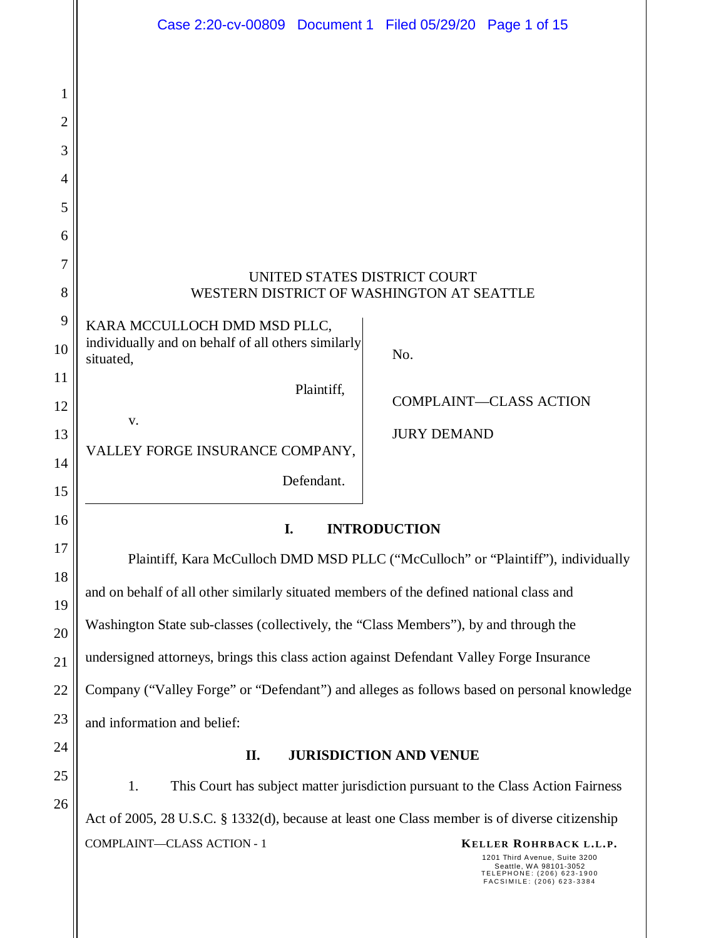|                | Case 2:20-cv-00809 Document 1 Filed 05/29/20 Page 1 of 15                                  |
|----------------|--------------------------------------------------------------------------------------------|
|                |                                                                                            |
|                |                                                                                            |
| 1              |                                                                                            |
| $\overline{2}$ |                                                                                            |
| 3              |                                                                                            |
| 4              |                                                                                            |
| 5              |                                                                                            |
| 6<br>7         |                                                                                            |
| 8              | UNITED STATES DISTRICT COURT<br>WESTERN DISTRICT OF WASHINGTON AT SEATTLE                  |
| 9              |                                                                                            |
| 10             | KARA MCCULLOCH DMD MSD PLLC,<br>individually and on behalf of all others similarly<br>No.  |
| 11             | situated,                                                                                  |
| 12             | Plaintiff,<br><b>COMPLAINT-CLASS ACTION</b>                                                |
| 13             | V.<br><b>JURY DEMAND</b>                                                                   |
| 14             | VALLEY FORGE INSURANCE COMPANY,                                                            |
| 15             | Defendant.                                                                                 |
| 16             | I.<br><b>INTRODUCTION</b>                                                                  |
| 17             | Plaintiff, Kara McCulloch DMD MSD PLLC ("McCulloch" or "Plaintiff"), individually          |
| 18             | and on behalf of all other similarly situated members of the defined national class and    |
| 19             | Washington State sub-classes (collectively, the "Class Members"), by and through the       |
| 20             |                                                                                            |
| 21             | undersigned attorneys, brings this class action against Defendant Valley Forge Insurance   |
| 22             | Company ("Valley Forge" or "Defendant") and alleges as follows based on personal knowledge |
| 23             |                                                                                            |
|                | and information and belief:                                                                |
| 24<br>25       | <b>JURISDICTION AND VENUE</b><br>П.                                                        |

**COMPLAINT—CLASS ACTION - 1 KELLER ROHRBACK L.L.P.** Act of 2005, 28 U.S.C. § 1332(d), because at least one Class member is of diverse citizenship

1201 Third Avenue, Suite 3200 Seattle, WA 98101-3052 T E L E P H O N E : ( 2 0 6 ) 6 2 3 - 1 9 0 0 F A C S I M I L E : ( 2 0 6 ) 6 2 3 - 3 3 8 4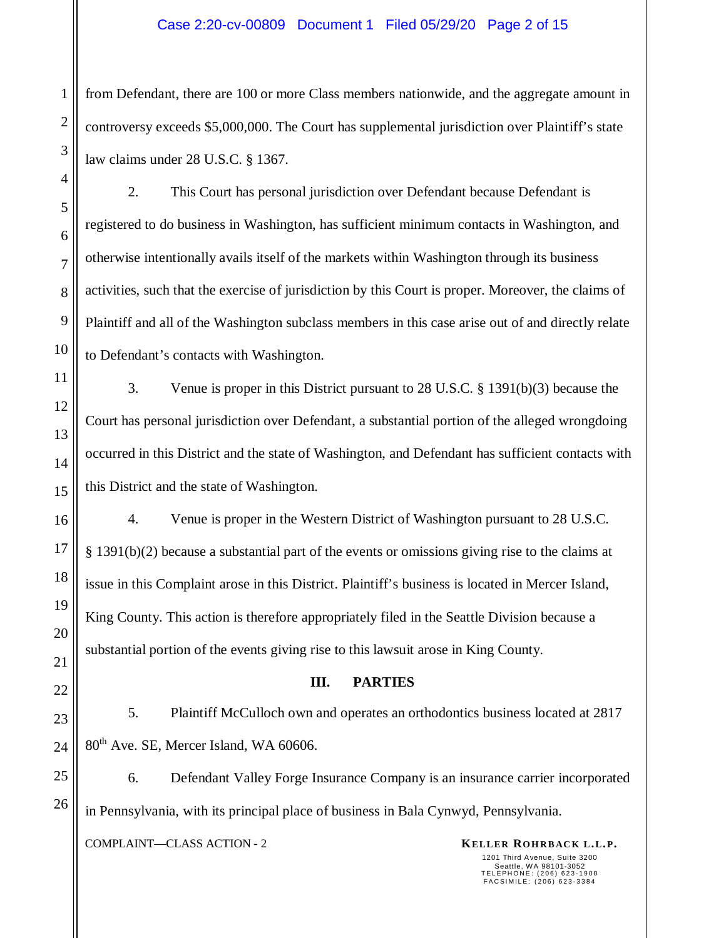from Defendant, there are 100 or more Class members nationwide, and the aggregate amount in controversy exceeds \$5,000,000. The Court has supplemental jurisdiction over Plaintiff's state law claims under 28 U.S.C. § 1367.

2. This Court has personal jurisdiction over Defendant because Defendant is registered to do business in Washington, has sufficient minimum contacts in Washington, and otherwise intentionally avails itself of the markets within Washington through its business activities, such that the exercise of jurisdiction by this Court is proper. Moreover, the claims of Plaintiff and all of the Washington subclass members in this case arise out of and directly relate to Defendant's contacts with Washington.

3. Venue is proper in this District pursuant to 28 U.S.C. § 1391(b)(3) because the Court has personal jurisdiction over Defendant, a substantial portion of the alleged wrongdoing occurred in this District and the state of Washington, and Defendant has sufficient contacts with this District and the state of Washington.

4. Venue is proper in the Western District of Washington pursuant to 28 U.S.C. § 1391(b)(2) because a substantial part of the events or omissions giving rise to the claims at issue in this Complaint arose in this District. Plaintiff's business is located in Mercer Island, King County. This action is therefore appropriately filed in the Seattle Division because a substantial portion of the events giving rise to this lawsuit arose in King County.

#### **III. PARTIES**

5. Plaintiff McCulloch own and operates an orthodontics business located at 2817 80<sup>th</sup> Ave. SE, Mercer Island, WA 60606.

6. Defendant Valley Forge Insurance Company is an insurance carrier incorporated in Pennsylvania, with its principal place of business in Bala Cynwyd, Pennsylvania.

**COMPLAINT—CLASS ACTION - 2 KELLER ROHRBACK L.L.P.**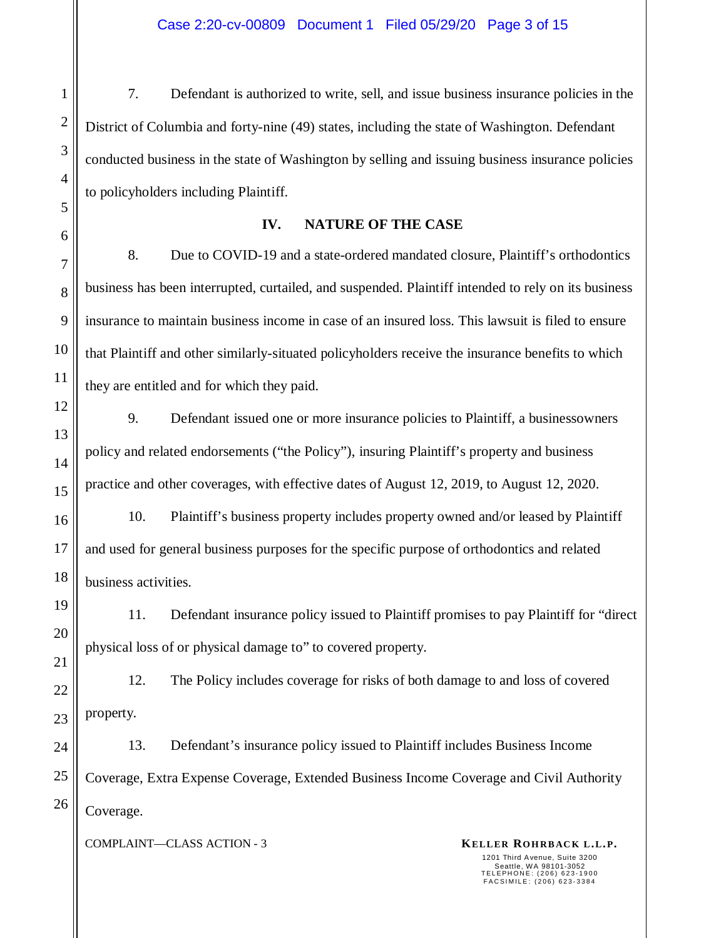7. Defendant is authorized to write, sell, and issue business insurance policies in the District of Columbia and forty-nine (49) states, including the state of Washington. Defendant conducted business in the state of Washington by selling and issuing business insurance policies to policyholders including Plaintiff.

#### **IV. NATURE OF THE CASE**

8. Due to COVID-19 and a state-ordered mandated closure, Plaintiff's orthodontics business has been interrupted, curtailed, and suspended. Plaintiff intended to rely on its business insurance to maintain business income in case of an insured loss. This lawsuit is filed to ensure that Plaintiff and other similarly-situated policyholders receive the insurance benefits to which they are entitled and for which they paid.

9. Defendant issued one or more insurance policies to Plaintiff, a businessowners policy and related endorsements ("the Policy"), insuring Plaintiff's property and business practice and other coverages, with effective dates of August 12, 2019, to August 12, 2020.

10. Plaintiff's business property includes property owned and/or leased by Plaintiff and used for general business purposes for the specific purpose of orthodontics and related business activities.

11. Defendant insurance policy issued to Plaintiff promises to pay Plaintiff for "direct physical loss of or physical damage to" to covered property.

12. The Policy includes coverage for risks of both damage to and loss of covered property.

13. Defendant's insurance policy issued to Plaintiff includes Business Income Coverage, Extra Expense Coverage, Extended Business Income Coverage and Civil Authority Coverage.

**KELLER ROHRBACK L.L.P. KELLER ROHRBACK L.L.P.**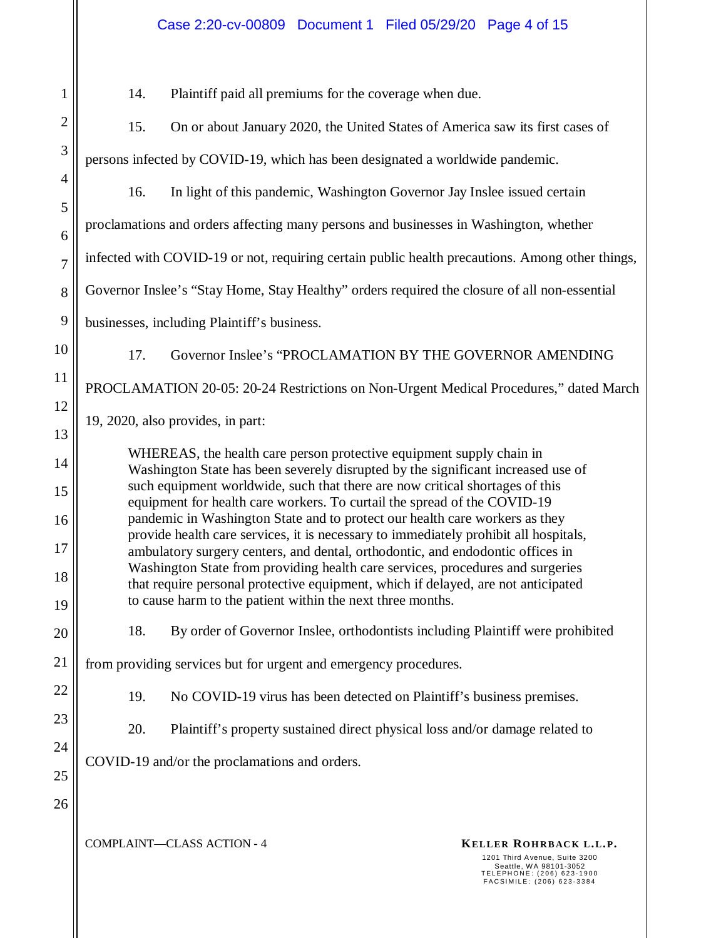# Case 2:20-cv-00809 Document 1 Filed 05/29/20 Page 4 of 15

**COMPLAINT—CLASS ACTION - 4 KELLER ROHRBACK L.L.P.** 1201 Third Avenue, Suite 3200 Seattle, WA 98101-3052<br>TELEPHONE: (206) 623-1900<br>FACSIMILE: (206) 623-3384 1 2 3 4 5 6 7 8 9 10 11 12 13 14 15 16 17 18 19 20 21 22 23 24 25 26 14. Plaintiff paid all premiums for the coverage when due. 15. On or about January 2020, the United States of America saw its first cases of persons infected by COVID-19, which has been designated a worldwide pandemic. 16. In light of this pandemic, Washington Governor Jay Inslee issued certain proclamations and orders affecting many persons and businesses in Washington, whether infected with COVID-19 or not, requiring certain public health precautions. Among other things, Governor Inslee's "Stay Home, Stay Healthy" orders required the closure of all non-essential businesses, including Plaintiff's business. 17. Governor Inslee's "PROCLAMATION BY THE GOVERNOR AMENDING PROCLAMATION 20-05: 20-24 Restrictions on Non-Urgent Medical Procedures," dated March 19, 2020, also provides, in part: WHEREAS, the health care person protective equipment supply chain in Washington State has been severely disrupted by the significant increased use of such equipment worldwide, such that there are now critical shortages of this equipment for health care workers. To curtail the spread of the COVID-19 pandemic in Washington State and to protect our health care workers as they provide health care services, it is necessary to immediately prohibit all hospitals, ambulatory surgery centers, and dental, orthodontic, and endodontic offices in Washington State from providing health care services, procedures and surgeries that require personal protective equipment, which if delayed, are not anticipated to cause harm to the patient within the next three months. 18. By order of Governor Inslee, orthodontists including Plaintiff were prohibited from providing services but for urgent and emergency procedures. 19. No COVID-19 virus has been detected on Plaintiff's business premises. 20. Plaintiff's property sustained direct physical loss and/or damage related to COVID-19 and/or the proclamations and orders.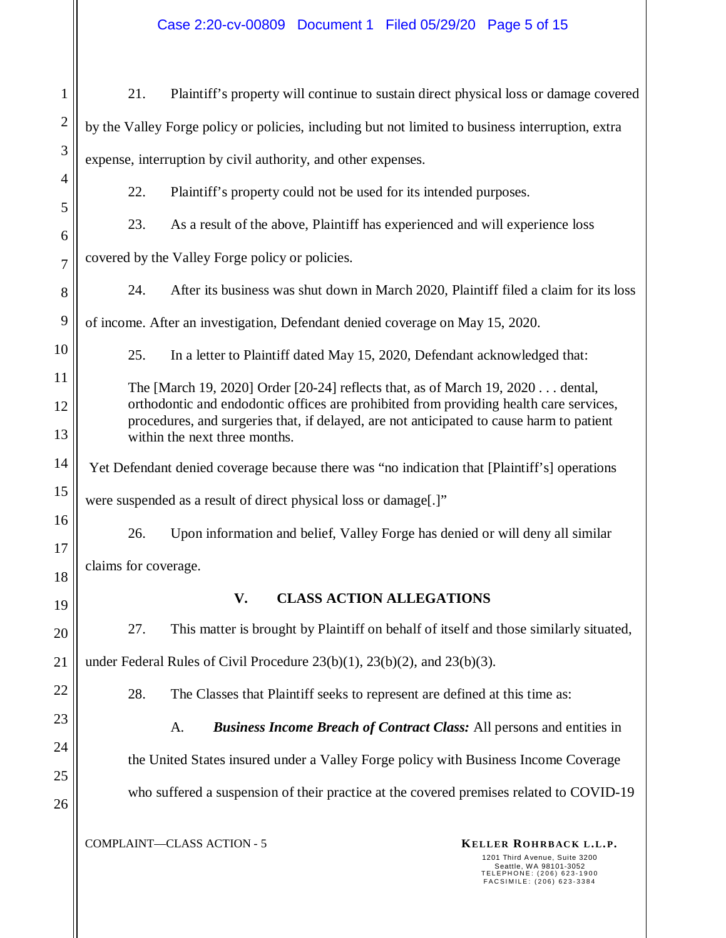| Case 2:20-cv-00809  Document 1  Filed 05/29/20  Page 5 of 15 |  |  |
|--------------------------------------------------------------|--|--|
|                                                              |  |  |

| $\mathbf{1}$        | 21.                  | Plaintiff's property will continue to sustain direct physical loss or damage covered                                      |                                                                                                                                             |
|---------------------|----------------------|---------------------------------------------------------------------------------------------------------------------------|---------------------------------------------------------------------------------------------------------------------------------------------|
| $\mathbf{2}$        |                      | by the Valley Forge policy or policies, including but not limited to business interruption, extra                         |                                                                                                                                             |
| 3                   |                      | expense, interruption by civil authority, and other expenses.                                                             |                                                                                                                                             |
| $\overline{4}$      | 22.                  | Plaintiff's property could not be used for its intended purposes.                                                         |                                                                                                                                             |
| 5                   | 23.                  | As a result of the above, Plaintiff has experienced and will experience loss                                              |                                                                                                                                             |
| 6<br>$\overline{7}$ |                      | covered by the Valley Forge policy or policies.                                                                           |                                                                                                                                             |
| 8                   | 24.                  | After its business was shut down in March 2020, Plaintiff filed a claim for its loss                                      |                                                                                                                                             |
| 9                   |                      | of income. After an investigation, Defendant denied coverage on May 15, 2020.                                             |                                                                                                                                             |
| 10                  | 25.                  | In a letter to Plaintiff dated May 15, 2020, Defendant acknowledged that:                                                 |                                                                                                                                             |
| 11                  |                      | The [March 19, 2020] Order [20-24] reflects that, as of March 19, 2020 dental,                                            |                                                                                                                                             |
| 12                  |                      | orthodontic and endodontic offices are prohibited from providing health care services,                                    |                                                                                                                                             |
| 13                  |                      | procedures, and surgeries that, if delayed, are not anticipated to cause harm to patient<br>within the next three months. |                                                                                                                                             |
| 14                  |                      | Yet Defendant denied coverage because there was "no indication that [Plaintiff's] operations                              |                                                                                                                                             |
| 15                  |                      | were suspended as a result of direct physical loss or damage[.]"                                                          |                                                                                                                                             |
| 16                  | 26.                  | Upon information and belief, Valley Forge has denied or will deny all similar                                             |                                                                                                                                             |
| 17<br>18            | claims for coverage. |                                                                                                                           |                                                                                                                                             |
| 19                  |                      | V.<br><b>CLASS ACTION ALLEGATIONS</b>                                                                                     |                                                                                                                                             |
| 20                  | 27.                  | This matter is brought by Plaintiff on behalf of itself and those similarly situated,                                     |                                                                                                                                             |
| 21                  |                      | under Federal Rules of Civil Procedure $23(b)(1)$ , $23(b)(2)$ , and $23(b)(3)$ .                                         |                                                                                                                                             |
| 22                  | 28.                  | The Classes that Plaintiff seeks to represent are defined at this time as:                                                |                                                                                                                                             |
| 23                  |                      | A.<br><b>Business Income Breach of Contract Class:</b> All persons and entities in                                        |                                                                                                                                             |
| 24                  |                      | the United States insured under a Valley Forge policy with Business Income Coverage                                       |                                                                                                                                             |
| 25                  |                      | who suffered a suspension of their practice at the covered premises related to COVID-19                                   |                                                                                                                                             |
| 26                  |                      |                                                                                                                           |                                                                                                                                             |
|                     |                      | COMPLAINT-CLASS ACTION - 5                                                                                                | KELLER ROHRBACK L.L.P.<br>1201 Third Avenue, Suite 3200<br>Seattle, WA 98101-3052<br>TELEPHONE: (206) 623-1900<br>FACSIMILE: (206) 623-3384 |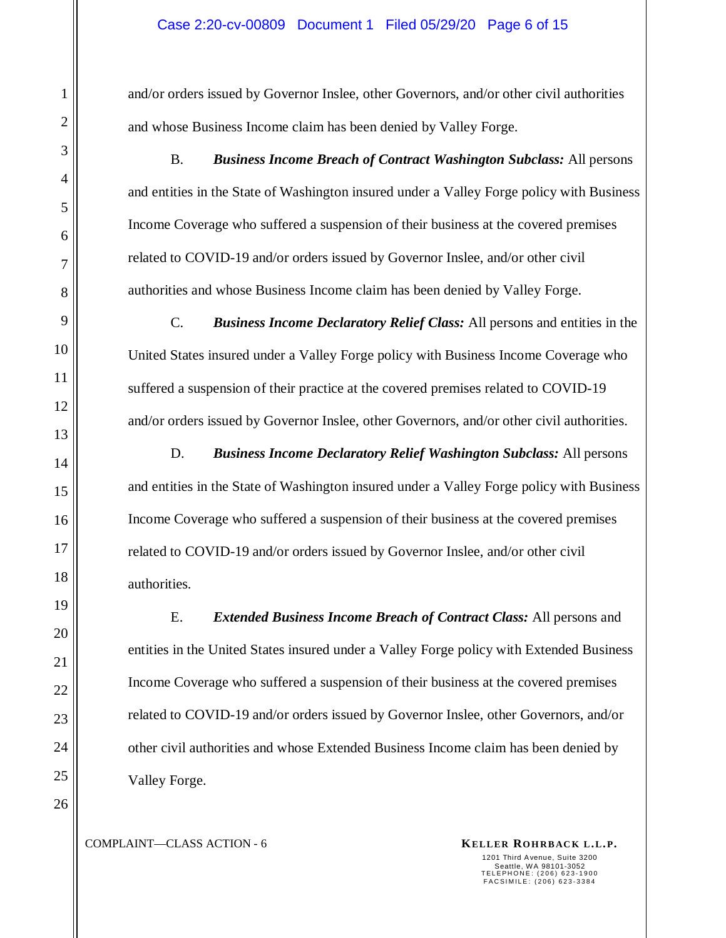and/or orders issued by Governor Inslee, other Governors, and/or other civil authorities and whose Business Income claim has been denied by Valley Forge.

B. *Business Income Breach of Contract Washington Subclass:* All persons and entities in the State of Washington insured under a Valley Forge policy with Business Income Coverage who suffered a suspension of their business at the covered premises related to COVID-19 and/or orders issued by Governor Inslee, and/or other civil authorities and whose Business Income claim has been denied by Valley Forge.

C. *Business Income Declaratory Relief Class:* All persons and entities in the United States insured under a Valley Forge policy with Business Income Coverage who suffered a suspension of their practice at the covered premises related to COVID-19 and/or orders issued by Governor Inslee, other Governors, and/or other civil authorities.

D. *Business Income Declaratory Relief Washington Subclass:* All persons and entities in the State of Washington insured under a Valley Forge policy with Business Income Coverage who suffered a suspension of their business at the covered premises related to COVID-19 and/or orders issued by Governor Inslee, and/or other civil authorities.

E. *Extended Business Income Breach of Contract Class:* All persons and entities in the United States insured under a Valley Forge policy with Extended Business Income Coverage who suffered a suspension of their business at the covered premises related to COVID-19 and/or orders issued by Governor Inslee, other Governors, and/or other civil authorities and whose Extended Business Income claim has been denied by Valley Forge.

**COMPLAINT—CLASS ACTION - 6 KELLER ROHRBACK L.L.P.**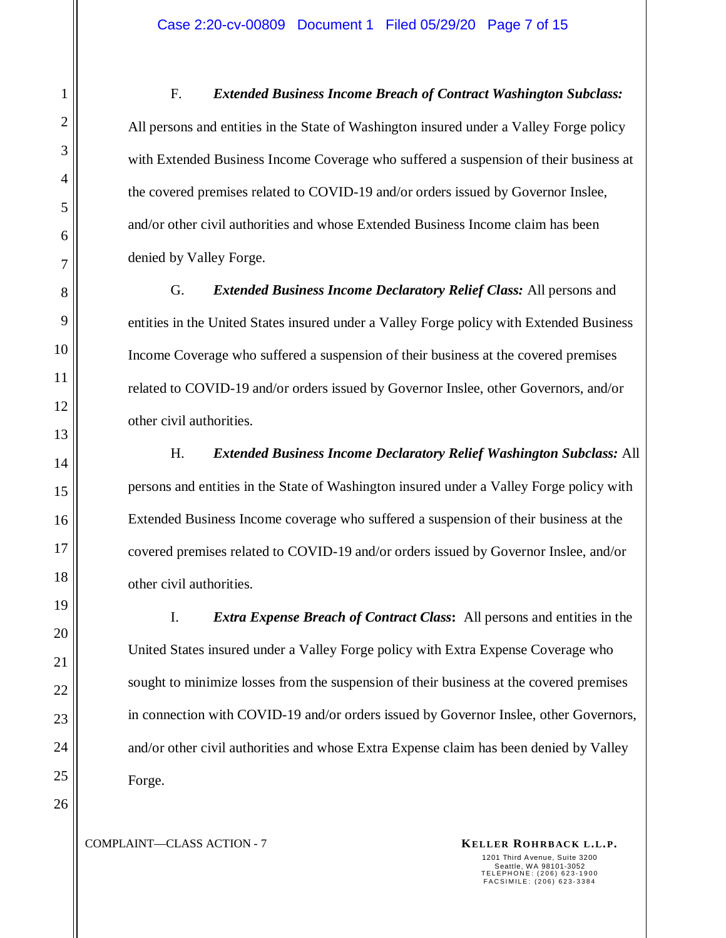F. *Extended Business Income Breach of Contract Washington Subclass:* All persons and entities in the State of Washington insured under a Valley Forge policy with Extended Business Income Coverage who suffered a suspension of their business at the covered premises related to COVID-19 and/or orders issued by Governor Inslee, and/or other civil authorities and whose Extended Business Income claim has been denied by Valley Forge.

G. *Extended Business Income Declaratory Relief Class:* All persons and entities in the United States insured under a Valley Forge policy with Extended Business Income Coverage who suffered a suspension of their business at the covered premises related to COVID-19 and/or orders issued by Governor Inslee, other Governors, and/or other civil authorities.

H. *Extended Business Income Declaratory Relief Washington Subclass:* All persons and entities in the State of Washington insured under a Valley Forge policy with Extended Business Income coverage who suffered a suspension of their business at the covered premises related to COVID-19 and/or orders issued by Governor Inslee, and/or other civil authorities.

I. *Extra Expense Breach of Contract Class***:** All persons and entities in the United States insured under a Valley Forge policy with Extra Expense Coverage who sought to minimize losses from the suspension of their business at the covered premises in connection with COVID-19 and/or orders issued by Governor Inslee, other Governors, and/or other civil authorities and whose Extra Expense claim has been denied by Valley Forge.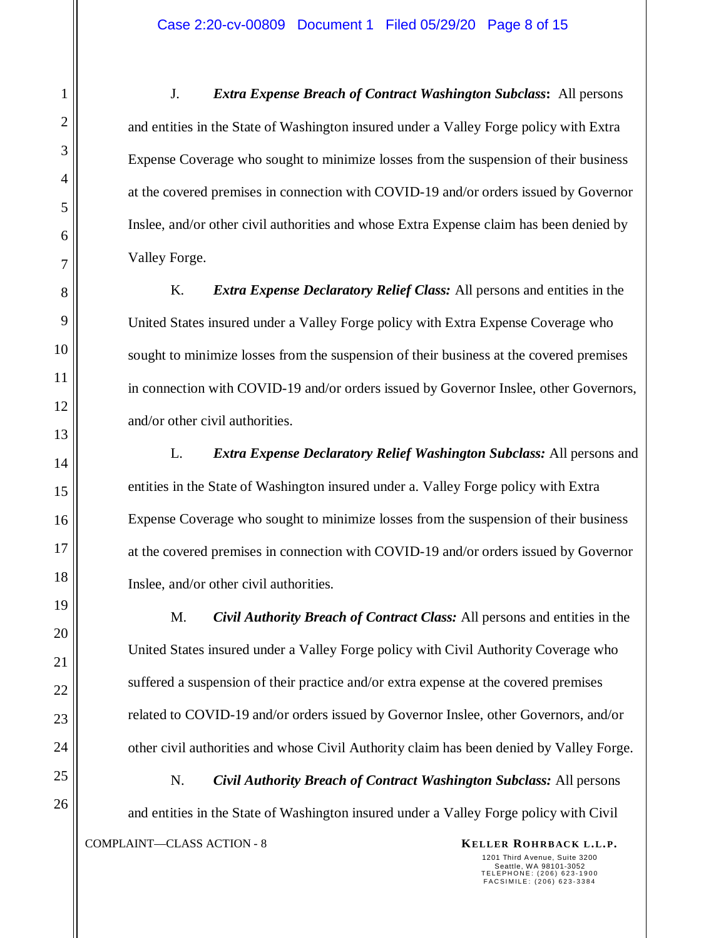J. *Extra Expense Breach of Contract Washington Subclass***:** All persons and entities in the State of Washington insured under a Valley Forge policy with Extra Expense Coverage who sought to minimize losses from the suspension of their business at the covered premises in connection with COVID-19 and/or orders issued by Governor Inslee, and/or other civil authorities and whose Extra Expense claim has been denied by Valley Forge.

K. *Extra Expense Declaratory Relief Class:* All persons and entities in the United States insured under a Valley Forge policy with Extra Expense Coverage who sought to minimize losses from the suspension of their business at the covered premises in connection with COVID-19 and/or orders issued by Governor Inslee, other Governors, and/or other civil authorities.

L. *Extra Expense Declaratory Relief Washington Subclass:* All persons and entities in the State of Washington insured under a. Valley Forge policy with Extra Expense Coverage who sought to minimize losses from the suspension of their business at the covered premises in connection with COVID-19 and/or orders issued by Governor Inslee, and/or other civil authorities.

M. *Civil Authority Breach of Contract Class:* All persons and entities in the United States insured under a Valley Forge policy with Civil Authority Coverage who suffered a suspension of their practice and/or extra expense at the covered premises related to COVID-19 and/or orders issued by Governor Inslee, other Governors, and/or other civil authorities and whose Civil Authority claim has been denied by Valley Forge.

**COMPLAINT—CLASS ACTION - 8 KELLER ROHRBACK L.L.P.** N. *Civil Authority Breach of Contract Washington Subclass:* All persons and entities in the State of Washington insured under a Valley Forge policy with Civil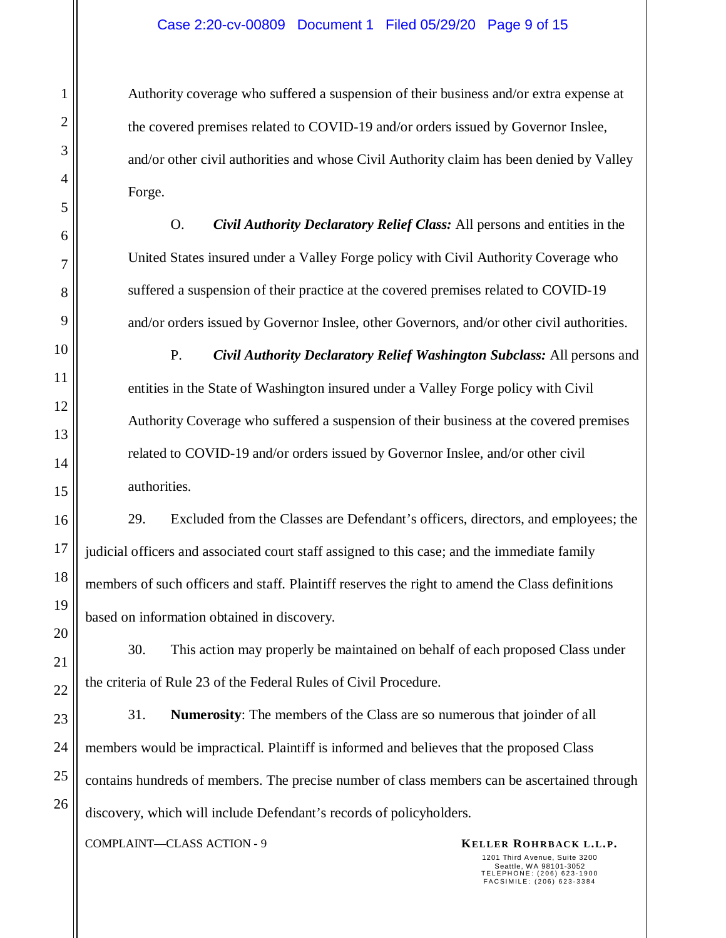Authority coverage who suffered a suspension of their business and/or extra expense at the covered premises related to COVID-19 and/or orders issued by Governor Inslee, and/or other civil authorities and whose Civil Authority claim has been denied by Valley Forge.

O. *Civil Authority Declaratory Relief Class:* All persons and entities in the United States insured under a Valley Forge policy with Civil Authority Coverage who suffered a suspension of their practice at the covered premises related to COVID-19 and/or orders issued by Governor Inslee, other Governors, and/or other civil authorities.

P. *Civil Authority Declaratory Relief Washington Subclass:* All persons and entities in the State of Washington insured under a Valley Forge policy with Civil Authority Coverage who suffered a suspension of their business at the covered premises related to COVID-19 and/or orders issued by Governor Inslee, and/or other civil authorities.

29. Excluded from the Classes are Defendant's officers, directors, and employees; the judicial officers and associated court staff assigned to this case; and the immediate family members of such officers and staff. Plaintiff reserves the right to amend the Class definitions based on information obtained in discovery.

30. This action may properly be maintained on behalf of each proposed Class under the criteria of Rule 23 of the Federal Rules of Civil Procedure.

31. **Numerosity**: The members of the Class are so numerous that joinder of all members would be impractical. Plaintiff is informed and believes that the proposed Class contains hundreds of members. The precise number of class members can be ascertained through discovery, which will include Defendant's records of policyholders.

**COMPLAINT—CLASS ACTION - 9 KELLER ROHRBACK L.L.P.**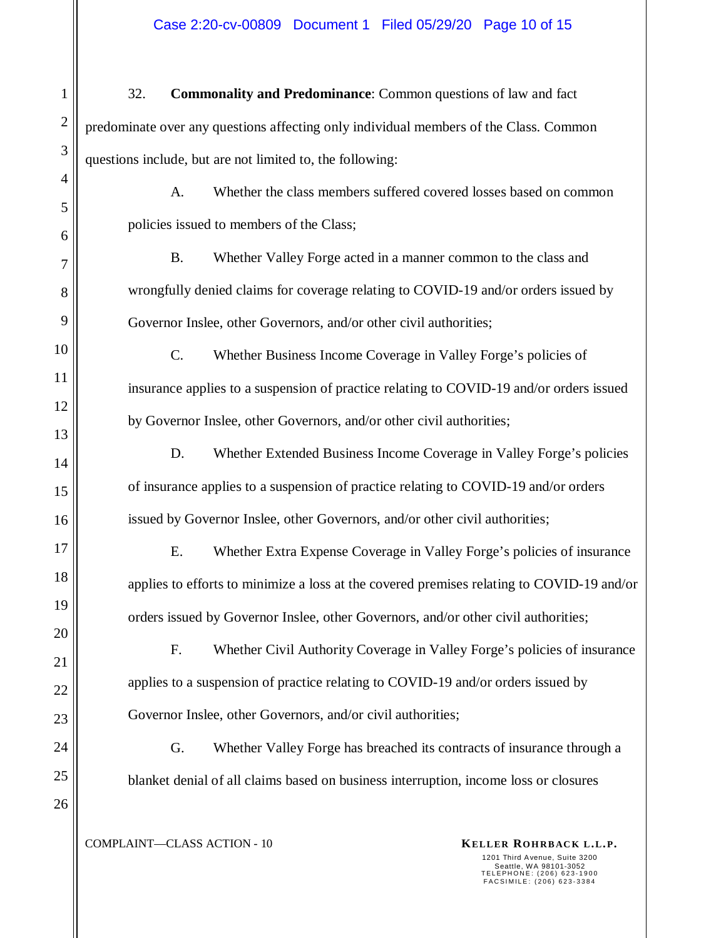#### Case 2:20-cv-00809 Document 1 Filed 05/29/20 Page 10 of 15

32. **Commonality and Predominance**: Common questions of law and fact predominate over any questions affecting only individual members of the Class. Common questions include, but are not limited to, the following: A. Whether the class members suffered covered losses based on common

policies issued to members of the Class;

1

2

3

4

5

6

7

8

9

10

11

12

13

14

15

16

17

18

19

20

21

22

23

24

25

26

B. Whether Valley Forge acted in a manner common to the class and wrongfully denied claims for coverage relating to COVID-19 and/or orders issued by Governor Inslee, other Governors, and/or other civil authorities;

C. Whether Business Income Coverage in Valley Forge's policies of insurance applies to a suspension of practice relating to COVID-19 and/or orders issued by Governor Inslee, other Governors, and/or other civil authorities;

D. Whether Extended Business Income Coverage in Valley Forge's policies of insurance applies to a suspension of practice relating to COVID-19 and/or orders issued by Governor Inslee, other Governors, and/or other civil authorities;

E. Whether Extra Expense Coverage in Valley Forge's policies of insurance applies to efforts to minimize a loss at the covered premises relating to COVID-19 and/or orders issued by Governor Inslee, other Governors, and/or other civil authorities;

F. Whether Civil Authority Coverage in Valley Forge's policies of insurance applies to a suspension of practice relating to COVID-19 and/or orders issued by Governor Inslee, other Governors, and/or civil authorities;

G. Whether Valley Forge has breached its contracts of insurance through a blanket denial of all claims based on business interruption, income loss or closures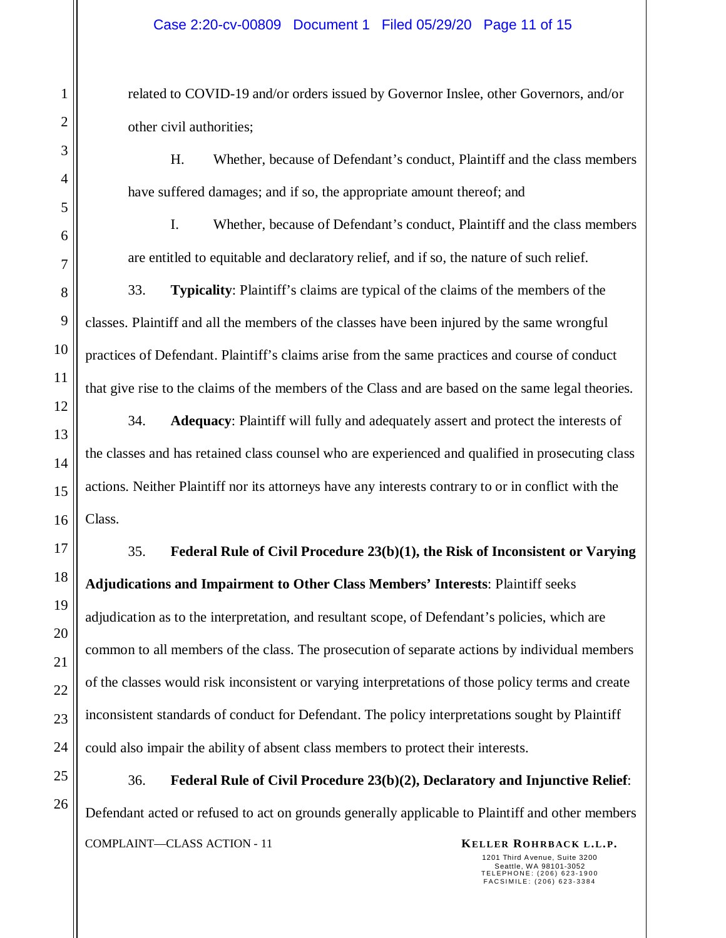related to COVID-19 and/or orders issued by Governor Inslee, other Governors, and/or other civil authorities;

H. Whether, because of Defendant's conduct, Plaintiff and the class members have suffered damages; and if so, the appropriate amount thereof; and

I. Whether, because of Defendant's conduct, Plaintiff and the class members are entitled to equitable and declaratory relief, and if so, the nature of such relief.

33. **Typicality**: Plaintiff's claims are typical of the claims of the members of the classes. Plaintiff and all the members of the classes have been injured by the same wrongful practices of Defendant. Plaintiff's claims arise from the same practices and course of conduct that give rise to the claims of the members of the Class and are based on the same legal theories.

34. **Adequacy**: Plaintiff will fully and adequately assert and protect the interests of the classes and has retained class counsel who are experienced and qualified in prosecuting class actions. Neither Plaintiff nor its attorneys have any interests contrary to or in conflict with the Class.

35. **Federal Rule of Civil Procedure 23(b)(1), the Risk of Inconsistent or Varying Adjudications and Impairment to Other Class Members' Interests**: Plaintiff seeks adjudication as to the interpretation, and resultant scope, of Defendant's policies, which are common to all members of the class. The prosecution of separate actions by individual members of the classes would risk inconsistent or varying interpretations of those policy terms and create inconsistent standards of conduct for Defendant. The policy interpretations sought by Plaintiff could also impair the ability of absent class members to protect their interests.

**COMPLAINT—CLASS ACTION - 11 KELLER ROHRBACK L.L.P.** 36. **Federal Rule of Civil Procedure 23(b)(2), Declaratory and Injunctive Relief**: Defendant acted or refused to act on grounds generally applicable to Plaintiff and other members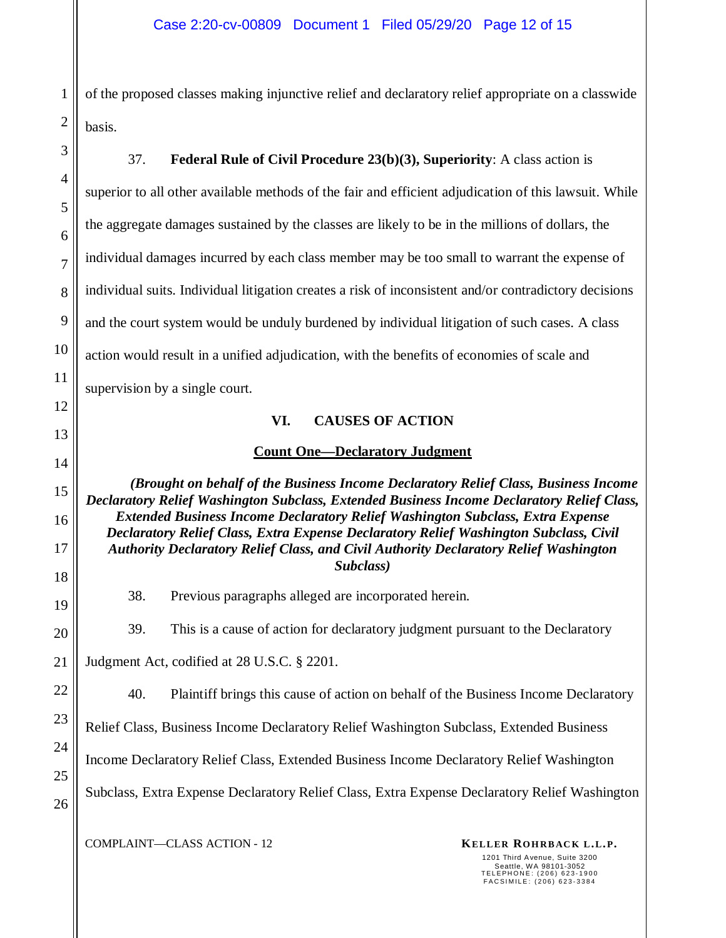of the proposed classes making injunctive relief and declaratory relief appropriate on a classwide basis.

37. **Federal Rule of Civil Procedure 23(b)(3), Superiority**: A class action is superior to all other available methods of the fair and efficient adjudication of this lawsuit. While the aggregate damages sustained by the classes are likely to be in the millions of dollars, the individual damages incurred by each class member may be too small to warrant the expense of individual suits. Individual litigation creates a risk of inconsistent and/or contradictory decisions and the court system would be unduly burdened by individual litigation of such cases. A class action would result in a unified adjudication, with the benefits of economies of scale and supervision by a single court.

# **VI. CAUSES OF ACTION**

#### **Count One—Declaratory Judgment**

*(Brought on behalf of the Business Income Declaratory Relief Class, Business Income Declaratory Relief Washington Subclass, Extended Business Income Declaratory Relief Class, Extended Business Income Declaratory Relief Washington Subclass, Extra Expense Declaratory Relief Class, Extra Expense Declaratory Relief Washington Subclass, Civil Authority Declaratory Relief Class, and Civil Authority Declaratory Relief Washington Subclass)* 

38. Previous paragraphs alleged are incorporated herein.

39. This is a cause of action for declaratory judgment pursuant to the Declaratory

Judgment Act, codified at 28 U.S.C. § 2201.

1

2

3

4

5

6

7

8

9

10

11

12

13

14

15

16

17

18

19

20

21

22

23

24

25

26

40. Plaintiff brings this cause of action on behalf of the Business Income Declaratory

Relief Class, Business Income Declaratory Relief Washington Subclass, Extended Business

Income Declaratory Relief Class, Extended Business Income Declaratory Relief Washington

Subclass, Extra Expense Declaratory Relief Class, Extra Expense Declaratory Relief Washington

**COMPLAINT—CLASS ACTION - 12 KELLER ROHRBACK L.L.P.**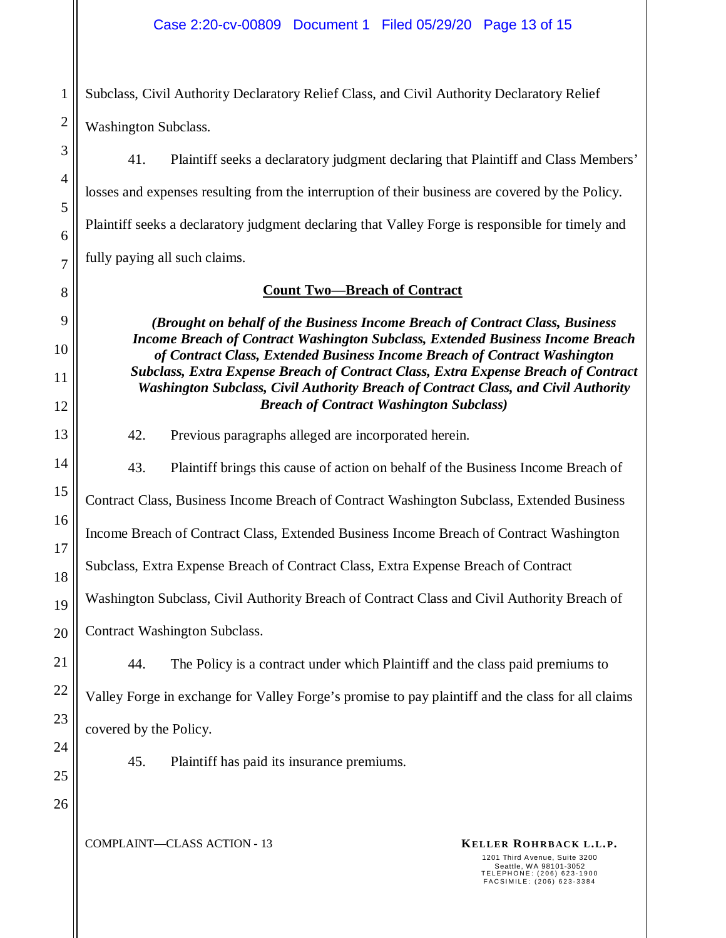Subclass, Civil Authority Declaratory Relief Class, and Civil Authority Declaratory Relief Washington Subclass.

41. Plaintiff seeks a declaratory judgment declaring that Plaintiff and Class Members' losses and expenses resulting from the interruption of their business are covered by the Policy. Plaintiff seeks a declaratory judgment declaring that Valley Forge is responsible for timely and fully paying all such claims.

# **Count Two—Breach of Contract**

# *(Brought on behalf of the Business Income Breach of Contract Class, Business Income Breach of Contract Washington Subclass, Extended Business Income Breach of Contract Class, Extended Business Income Breach of Contract Washington Subclass, Extra Expense Breach of Contract Class, Extra Expense Breach of Contract Washington Subclass, Civil Authority Breach of Contract Class, and Civil Authority Breach of Contract Washington Subclass)*

42. Previous paragraphs alleged are incorporated herein.

43. Plaintiff brings this cause of action on behalf of the Business Income Breach of

Contract Class, Business Income Breach of Contract Washington Subclass, Extended Business

Income Breach of Contract Class, Extended Business Income Breach of Contract Washington

Subclass, Extra Expense Breach of Contract Class, Extra Expense Breach of Contract

Washington Subclass, Civil Authority Breach of Contract Class and Civil Authority Breach of

Contract Washington Subclass.

44. The Policy is a contract under which Plaintiff and the class paid premiums to

Valley Forge in exchange for Valley Forge's promise to pay plaintiff and the class for all claims covered by the Policy.

45. Plaintiff has paid its insurance premiums.

**COMPLAINT—CLASS ACTION - 13 KELLER ROHRBACK L.L.P.**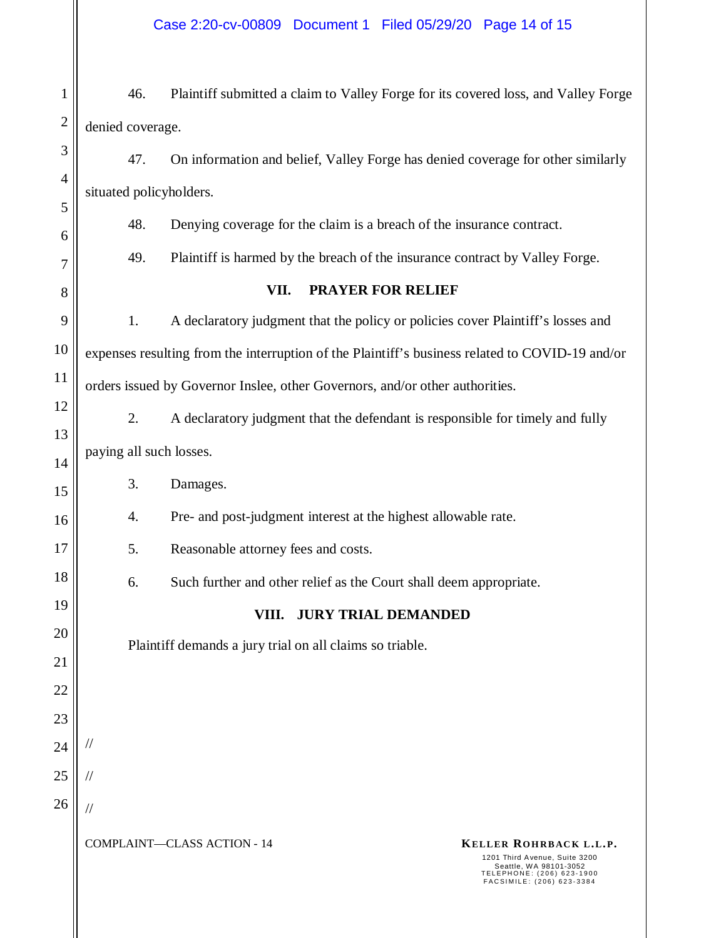#### Case 2:20-cv-00809 Document 1 Filed 05/29/20 Page 14 of 15

1 2 46. Plaintiff submitted a claim to Valley Forge for its covered loss, and Valley Forge denied coverage.

47. On information and belief, Valley Forge has denied coverage for other similarly situated policyholders.

48. Denying coverage for the claim is a breach of the insurance contract.

49. Plaintiff is harmed by the breach of the insurance contract by Valley Forge.

# **VII. PRAYER FOR RELIEF**

9 10 1. A declaratory judgment that the policy or policies cover Plaintiff's losses and expenses resulting from the interruption of the Plaintiff's business related to COVID-19 and/or orders issued by Governor Inslee, other Governors, and/or other authorities.

12 13 14 2. A declaratory judgment that the defendant is responsible for timely and fully paying all such losses.

3. Damages.

3

4

5

6

7

8

11

15

16

17

18

19

20

21

22

23

24

//

//

//

25

26

4. Pre- and post-judgment interest at the highest allowable rate.

5. Reasonable attorney fees and costs.

6. Such further and other relief as the Court shall deem appropriate.

# **VIII. JURY TRIAL DEMANDED**

Plaintiff demands a jury trial on all claims so triable.

**COMPLAINT—CLASS ACTION - 14 KELLER ROHRBACK L.L.P.**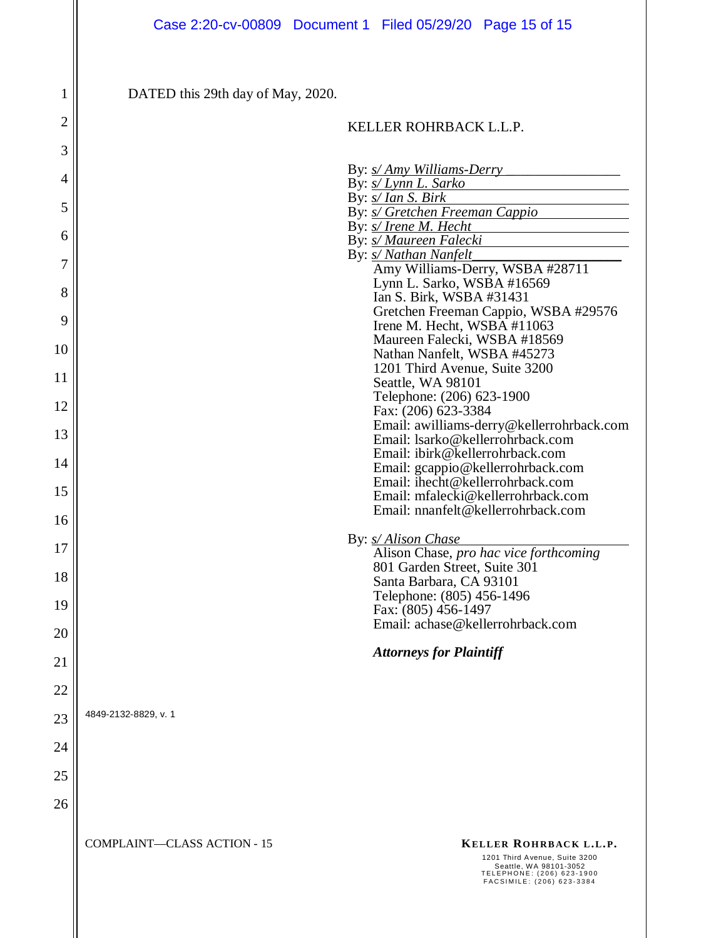DATED this 29th day of May, 2020.

1

2

3

### KELLER ROHRBACK L.L.P.

| 3  |                                    |                                                                       |
|----|------------------------------------|-----------------------------------------------------------------------|
| 4  |                                    | By: <i>s/Amy Williams-Derry</i>                                       |
|    |                                    | By: <i>s/ Lynn L. Sarko</i><br>By: s/ Ian S. Birk                     |
| 5  |                                    | By: s/ Gretchen Freeman Cappio                                        |
|    |                                    | By: s/ Irene M. Hecht                                                 |
| 6  |                                    | By: <i>s/ Maureen Falecki</i>                                         |
| 7  |                                    | By: s/ Nathan Nanfelt<br>Amy Williams-Derry, WSBA #28711              |
|    |                                    | Lynn L. Sarko, WSBA #16569                                            |
| 8  |                                    | Ian S. Birk, WSBA #31431                                              |
|    |                                    | Gretchen Freeman Cappio, WSBA #29576                                  |
| 9  |                                    | Irene M. Hecht, WSBA #11063                                           |
| 10 |                                    | Maureen Falecki, WSBA #18569                                          |
|    |                                    | Nathan Nanfelt, WSBA #45273                                           |
| 11 |                                    | 1201 Third Avenue, Suite 3200<br>Seattle, WA 98101                    |
|    |                                    | Telephone: (206) 623-1900                                             |
| 12 |                                    | Fax: (206) 623-3384                                                   |
|    |                                    | Email: awilliams-derry@kellerrohrback.com                             |
| 13 |                                    | Email: lsarko@kellerrohrback.com                                      |
| 14 |                                    | Email: ibirk@kellerrohrback.com                                       |
|    |                                    | Email: gcappio@kellerrohrback.com<br>Email: ihecht@kellerrohrback.com |
| 15 |                                    | Email: mfalecki@kellerrohrback.com                                    |
|    |                                    | Email: nnanfelt@kellerrohrback.com                                    |
| 16 |                                    |                                                                       |
|    |                                    | By: s/ Alison Chase                                                   |
| 17 |                                    | Alison Chase, pro hac vice forthcoming                                |
| 18 |                                    | 801 Garden Street, Suite 301                                          |
|    |                                    | Santa Barbara, CA 93101<br>Telephone: (805) 456-1496                  |
| 19 |                                    | Fax: (805) 456-1497                                                   |
|    |                                    | Email: achase@kellerrohrback.com                                      |
| 20 |                                    |                                                                       |
| 21 |                                    | <b>Attorneys for Plaintiff</b>                                        |
|    |                                    |                                                                       |
| 22 |                                    |                                                                       |
|    |                                    |                                                                       |
| 23 | 4849-2132-8829, v. 1               |                                                                       |
| 24 |                                    |                                                                       |
|    |                                    |                                                                       |
| 25 |                                    |                                                                       |
|    |                                    |                                                                       |
| 26 |                                    |                                                                       |
|    |                                    |                                                                       |
|    | <b>COMPLAINT-CLASS ACTION - 15</b> | KELLER ROHRBACK L.L.P.                                                |
|    |                                    | 1201 Third Avenue, Suite 3200<br>Seattle, WA 98101-3052               |
|    |                                    | TELEPHONE: (206) 623-1900<br>FACSIMILE: (206) 623-3384                |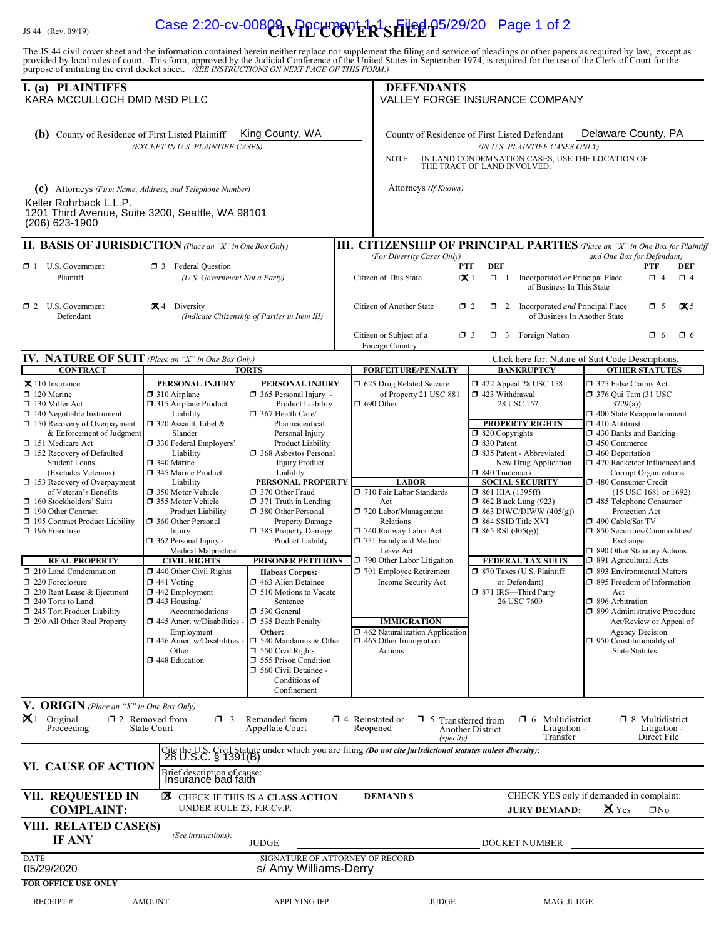$\mathcal{H}_{\rm{H}}$   $\mathcal{H}_{\rm{H}}$  (Rev. 09/19) case 2:20-cv-00809  $\mathbf{VPCC}$   $\mathbf{VPC}$   $\mathbf{FP}$   $\mathbf{FP}$   $\mathbf{FP}$   $\mathbf{FP}$   $\mathbf{FP}$   $\mathbf{FP}$   $\mathbf{FP}$   $\mathbf{FP}$   $\mathbf{FP}$   $\mathbf{FP}$   $\mathbf{FP}$   $\mathbf{FP}$   $\mathbf{FP}$   $\mathbf{FP}$   $\mathbf{FP}$   $\mathbf{FP$ The JS 44 civil cover sheet and the information contained herein neither replace nor supplement the filing and service of pleadings or other papers as required by law, except as provided by local rules of court. This form, purpose of initiating the civil docket sheet. (SEE INSTRUCTIONS ON NEXT PAGE OF THIS FORM.) 1. (a) PLAINTIFFS<br>
KARA MCCULLOCH DMD MSD PLLC<br>
VALLEY FORGE I **(b)** County of Residence of First Listed Plaintiff King County, WA (EXCEPT IN U.S. PLAINTIFF CASES) (IN U.S. PLAINTIFF CASES ONLY) NOTE: IN LAND CONDEMNATION CASES, USE THE LOCATION OF<br>THE TRACT OF LAND INVOLVED. #G\$ 6bb]`\Sga (Firm Name, Address, and Telephone Number) 6bb]`\Sga (If Known)  $\prod$ , BASIS OF JURISDICTION (Place an "X" in One Box Only)<br>(For Diversity Cases Only) (For Diversity Cases Only) and One Box for Defendant) (For Defendant)<br>  $F$ **TF** DEF<br>  $F$  DEF<br>  $F$  DEF<br>  $F$  DEF  $\Box$  1 U.S. Government  $\Box$  3 Federal Question Plaintiff (U.S. Government Not a Party) **8What** Citizen of This State  $\mathbf{X}$  1  $\Box$  1 Incorporated or Principal Place  $\Box$  4  $\Box$  4 of Business In This State " - J)H) <]dS`\[S\b " / 9WdS`aWbg 8WbWhS\ ]T 6\]bVS` HbObS " - " - >\Q]`^]`ObSR and E`W\QW^OZ EZOQS " 0 " 0 (Indicate Citizenship of Parties in Item III) Citizen or Subject of a  $\Box$  3  $\Box$  3 Foreign Nation  $\Box$  6  $\Box$  6  $\Box$  6 Foreign Country **14A& 9, 2008 11 A& 9, 2008 11 2008 11 2008 11 2008 11 2008 11 2008 11 2008 11 2008 11:2 CONTRACT**<br>
14 2008 11:3 CONTRACT 1 2008 11:3 CONTRACT 1 2008 11:3 CONTRACT 1 2008 12:3 CONTRACT 1 2008 12:3 CONTRACT 1 2009 12:3 CONT .:9?=,.? ?:=?> 1:=104?@=0';09,7?C -,96=@;?.C :?30= >?,?@?0> **X** 110 Insurance **ERSONAL INJURY PERSONAL INJURY C** 625 Drug Related Seizure **C** 422 Appeal 28 USC 158 C 375 False Claims Act  $\Box$  120 Marine  $\Box$  376 Qui Tam (31 USC  $\Box$  130 Airplane Product  $\Box$  365 Personal Injury - of Property 21 USC 881  $\Box$  423 Withdrawal  $\Box$  376 Qui Tam (31 USC  $\Box$  130 Miller Act  $\Box$  315 Airplane Product Product Liabi  $\Box$  130 Miller Act  $\Box$  315 Airplane Product  $\Box$  140 Negotiable Instrument Liability  $\Box$  367 Health Care/ Liability  $\Box$  367 Health Care/  $\Box$  320 Assault, Libel & Pharmaceutical

PROPERTY RIGHTS  $\Box$  410 Antitrust  $\Box$  410 Antitrust

PROPERTY RIGHTS  $\Box$  410 Antitrust  $\Box$  410 Antitrust  $\Box$  410 Antitrust  $\Box$  410 Antit  $\Box$  150 Recovery of Overpayment  $\Box$  320 Assault, Libel & Pharmaceutical & Enforcement of Judement Slander Stander Personal Injury & Enforcement of Judgment Slander Slander Personal Injury<br>  $\Box$  151 Medicare Act  $\Box$  430 Federal Employers' Product Liability Product  $\Box$  830 Patent  $\Box$  450 Commerce ■ 330 Patent Employers' Product Liability <br>
Liability ■ 368 Asbestos Personal ■ 835 Patent - Abbreviated ■ 835 Patent - Abbreviated ■ 460 Deportation  $\Box$  152 Recovery of Defaulted Liability  $\Box$  368 Asbestos Personal  $\Box$  355 Patent Loans  $\Box$  340 Marine  $\Box$  152 Recovery of Defaulted Liability  $\Box$  340 Marine  $\Box$  152 Rev Drug Application HbcRS\b A]O\a " ./+ BO`W\S >\Xc`g E`]RcQb CSe 9`cU 6^^ZWQObW]\ " /2+ GOQYSbSS` >\TZcS\QSR O\R %:fQZcRSa KSbS`O\a& " ./0 BO`W\S E`]RcQb AWOPWZWbg " 3/+ I`ORS[O`Y 8]``c^b D`UO\WhObW]\a <table>\n<tbody>\n<tr>\n<th>□ 153 Recovery of Overpayment</th>\n<th>Liability</th>\n<th>PERSONAL PROPERTIES</th>\n<th>LABOR</th>\n<th>SOIAL SECURITY</th>\n<th>1480 Course</th>\n</tr>\n<tr>\n<td>□ 350 Motor Vehicle</td>\n<td>□ 370 Other Frau</td>\n<td>□ 710 Fair Laboratory</td>\n<td>□ 861 HIA (1395ff)</td>\n<td>□ 480 Consumer Credit</td>\n</tr>\n</tbody>\n</table>\n<p>(15 USC1681 or 1692)</p> of Veteran's Benefits  $\Box$  350 Motor Vehicle  $\Box$  370 Other Fraud  $\Box$  710 Fair Labor Standards  $\Box$  861 HIA (1395ff)  $\Box$  862 Black Lung (923) Act  $\Box$  862 Black Lung (923)  $\Box$  485 Telephone Consumer <table>\n<tbody>\n<tr>\n<td>□ 190 Other Contract Product Liability</td>\n<td>□ 360 Other Personal</td>\n<td>□ 380 Other Personal</td>\n<td>□ 720 Labor/Managerment</td>\n<td>□ 863 DIVCDIWW (405(g))</td>\n<td>Projectly D20 202</td>\n</tr>\n<tr>\n<td>□ 195 Contract Product Liability</td>\n<td>□ 360 Other Personal</td>\n<td>Preporty Damage</td>\n<td>Relations</td>\n<td>□ 864 SSD Title XVI</td>\n<td>□ 490 Cable/Sat TV</td>\n</tr>\n</tbody>\n</table> 195 Contract Product Liability | 360 Other Personal Property Damage Relations Individual D 864 SSID Title X<br>
∴1 196 Franchise Injury Bamage 31/ 140 Railway Labor Act 385 RSI (405(g)) Thjury  $\Box$  385 Property Damage  $\Box$  740 Railway Labor Act  $\Box$  865 RSI (405(g))  $\Box$  850 Securities/Commodities/<br> $\Box$  362 Personal Injury - Product Liability  $\Box$  751 Family and Medical  $\Box$  855 RSI (405(g))  $\Box$  850 Secu The Personal Injury - . The Product Liability  $\Box$  751 Family and Medical Medical Malpractice . . . BSRWQOZ BOZ^`OQbWQS ASOdS 6Qb " 34+ DbVS` HbObcb]`g 6QbW]\a EXAL PROPERTY | CIVIL RIGHTS | PRISONER PETITIONS | 790 Other Labor Litigation | FEDERAL TAX SUITS <table>\n<tbody>\n<tr>\n<td>□ 210 Land Condefinition</td>\n<td>□ 440 Other Civil Rights</td>\n<td>□ 463 Alien Details</td>\n<td>□ 791 Employee Retirement</td>\n<td>□ 870 Taxes (U.S. Plainiff</td>\n<td>□ 883 Environment</td>\n</tr>\n<tr>\n<td>□ 220 Foreclosure</td>\n<td>□ 441 Voting</td>\n<td>□ 463 Alien Details</td>\n<td>□ 463 Alien Details</td>\n<td>□ 595 Freedom of Information</td>\n</tr>\n</tbody>\n</table>  $\Box$  463 Alien Detainee Income Security Act or Defendant)  $\Box$  895 Freedom of Information  $\Box$  510 Motions to Vacate  $\Box$  871 IRS—Third Party Act  $\Box$  230 Rent Lease & Ejectment  $\Box$  442 Employment  $\Box$  510 Motions to Vacate  $\Box$  871 IRS—Third Party Act D 240 Torts to Land D 443 Housing/ Sentence 26 USC 7609 D 896 Arbitration ■ 240 Torts to Land <br>
■ 243 Housing/
B Arbitration Accommodations B 530 General 26 USC 7609 ■ 399 Administrative Procedure □ 290 All Other Real Property □ 445 Amer. w/Disabilities - □ 535 Death Penalty **IMMIGRATION** Act/Review or Appeal of **Other:** □ 462 Naturalization Application Application Agency Decision Employment **Other:**<br>□ 446 Amer. w/Disabilities - □ 540 Mandamus & Other □ 465 Other Immigration □ 850 Constitutionality of Amer. w/Disabilities -  $\Box$  540 Mandamus & Other  $\Box$  465 Other Immigration  $\Box$  950 Constitutional Other  $\Box$  950 Constitutional Actions State Statutes Other  $\Box$  550 Civil Rights  $\Box$  448 Education  $\Box$  555 Prison Cond  $\Box$  555 Prison Condition VALLEY FORGE INSURANCE COMPANY County of Residence of First Listed Defendant Delaware County, PA Keller Rohrback L.L.P. 1201 Third Avenue, Suite 3200, Seattle, WA 98101 (206) 623-1900

 $V.$  ORIGIN (Place an "X" in One Box Only)

| <b>V. URIGIN</b> (Place an "X" in One Box Only) |                                             |   |                                                    |                                  |                                    |                                                                                                                                       |                                                       |                                                       |
|-------------------------------------------------|---------------------------------------------|---|----------------------------------------------------|----------------------------------|------------------------------------|---------------------------------------------------------------------------------------------------------------------------------------|-------------------------------------------------------|-------------------------------------------------------|
| $\mathbf{X}$ 1<br>Original<br>Proceeding        | $\Box$ 2 Removed from<br><b>State Court</b> |   | $\Box$ 3                                           | Remanded from<br>Appellate Court | $\Box$ 4 Reinstated or<br>Reopened | α.<br>5<br>Transferred from<br><b>Another District</b><br>(specify)                                                                   | Multidistrict<br>$\Box$ 6<br>Litigation -<br>Transfer | $\Box$ 8 Multidistrict<br>Litigation -<br>Direct File |
|                                                 |                                             |   |                                                    |                                  |                                    | Cite the U.S. Civil Statute under which you are filing (Do not cite jurisdictional statutes unless diversity):<br>28 U.S.C. § 1391(B) |                                                       |                                                       |
| VI. CAUSE OF ACTION                             |                                             |   | Brief description of cause:<br>Insurance bad faith |                                  |                                    |                                                                                                                                       |                                                       |                                                       |
| VII. REQUESTED IN                               |                                             | 风 |                                                    | CHECK IF THIS IS A CLASS ACTION  | <b>DEMANDS</b>                     |                                                                                                                                       | CHECK YES only if demanded in complaint:              |                                                       |
| <b>COMPLAINT:</b>                               |                                             |   |                                                    | UNDER RULE 23, F.R.Cv.P.         |                                    |                                                                                                                                       | <b>JURY DEMAND:</b>                                   | $\mathbf{X}$ Yes<br>$\n  Two\n$                       |
| VIII. RELATED CASE(S)<br>IF ANY                 |                                             |   | (See instructions):                                | <b>JUDGE</b>                     |                                    |                                                                                                                                       | <b>DOCKET NUMBER</b>                                  |                                                       |
| <b>DATE</b><br>05/29/2020                       |                                             |   |                                                    | s/ Amy Williams-Derry            | SIGNATURE OF ATTORNEY OF RECORD    |                                                                                                                                       |                                                       |                                                       |
| <b>FOR OFFICE USE ONLY</b>                      |                                             |   |                                                    |                                  |                                    |                                                                                                                                       |                                                       |                                                       |
| <b>RECEIPT#</b>                                 | <b>AMOUNT</b>                               |   |                                                    | <b>APPLYING IFP</b>              |                                    | <b>JUDGE</b>                                                                                                                          | MAG. JUDGE                                            |                                                       |
|                                                 |                                             |   |                                                    |                                  |                                    |                                                                                                                                       |                                                       |                                                       |

 $\Box$  560 Civil Detainee -Conditions of Confinement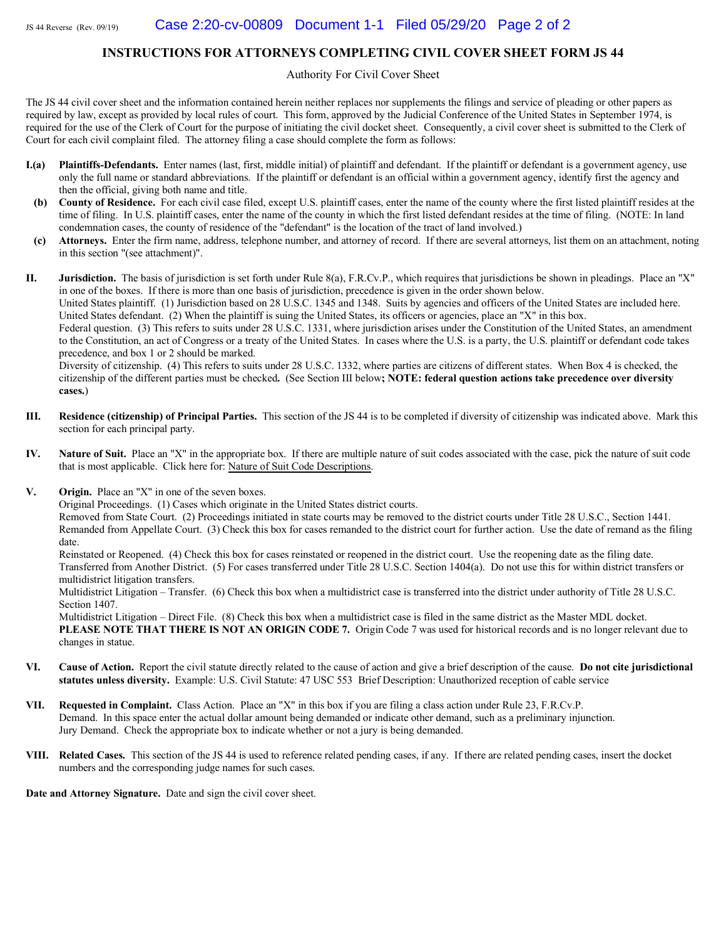#### INSTRUCTIONS FOR ATTORNEYS COMPLETING CIVIL COVER SHEET FORM JS 44

Authority For Civil Cover Sheet

The JS 44 civil cover sheet and the information contained herein neither replaces nor supplements the filings and service of pleading or other papers as required by law, except as provided by local rules of court. This form, approved by the Judicial Conference of the United States in September 1974, is required for the use of the Clerk of Court for the purpose of initiating the civil docket sheet. Consequently, a civil cover sheet is submitted to the Clerk of Court for each civil complaint filed. The attorney filing a case should complete the form as follows:

- **I.(a)** Plaintiffs-Defendants. Enter names (last, first, middle initial) of plaintiff and defendant. If the plaintiff or defendant is a government agency, use only the full name or standard abbreviations. If the plaintiff or defendant is an official within a government agency, identify first the agency and then the official, giving both name and title.
- (b) County of Residence. For each civil case filed, except U.S. plaintiff cases, enter the name of the county where the first listed plaintiff resides at the time of filing. In U.S. plaintiff cases, enter the name of the county in which the first listed defendant resides at the time of filing. (NOTE: In land condemnation cases, the county of residence of the "defendant" is the location of the tract of land involved.)
- (c) Attorneys. Enter the firm name, address, telephone number, and attorney of record. If there are several attorneys, list them on an attachment, noting in this section "(see attachment)".

**II.** Jurisdiction. The basis of jurisdiction is set forth under Rule 8(a), F.R.Cv.P., which requires that jurisdictions be shown in pleadings. Place an "X" in one of the boxes. If there is more than one basis of jurisdiction, precedence is given in the order shown below.

United States plaintiff. (1) Jurisdiction based on 28 U.S.C. 1345 and 1348. Suits by agencies and officers of the United States are included here. United States defendant. (2) When the plaintiff is suing the United States, its officers or agencies, place an "X" in this box.

Federal question. (3) This refers to suits under 28 U.S.C. 1331, where jurisdiction arises under the Constitution of the United States, an amendment to the Constitution, an act of Congress or a treaty of the United States. In cases where the U.S. is a party, the U.S. plaintiff or defendant code takes precedence, and box 1 or 2 should be marked.

Diversity of citizenship. (4) This refers to suits under 28 U.S.C. 1332, where parties are citizens of different states. When Box 4 is checked, the citizenship of the different parties must be checked. (See Section III below; NOTE: federal question actions take precedence over diversity cases.)

- III. Residence (citizenship) of Principal Parties. This section of the JS 44 is to be completed if diversity of citizenship was indicated above. Mark this section for each principal party.
- IV. Nature of Suit. Place an "X" in the appropriate box. If there are multiple nature of suit codes associated with the case, pick the nature of suit code that is most applicable. Click here for: Nature of Suit Code Descriptions.
- V. Origin. Place an "X" in one of the seven boxes.

Original Proceedings. (1) Cases which originate in the United States district courts.

Removed from State Court. (2) Proceedings initiated in state courts may be removed to the district courts under Title 28 U.S.C., Section 1441. Remanded from Appellate Court. (3) Check this box for cases remanded to the district court for further action. Use the date of remand as the filing date.

Reinstated or Reopened. (4) Check this box for cases reinstated or reopened in the district court. Use the reopening date as the filing date. Transferred from Another District. (5) For cases transferred under Title 28 U.S.C. Section 1404(a). Do not use this for within district transfers or multidistrict litigation transfers.

Multidistrict Litigation – Transfer. (6) Check this box when a multidistrict case is transferred into the district under authority of Title 28 U.S.C. Section  $1407$ .

Multidistrict Litigation – Direct File. (8) Check this box when a multidistrict case is filed in the same district as the Master MDL docket. PLEASE NOTE THAT THERE IS NOT AN ORIGIN CODE 7. Origin Code 7 was used for historical records and is no longer relevant due to changes in statue.

- VI. Cause of Action. Report the civil statute directly related to the cause of action and give a brief description of the cause. Do not cite jurisdictional statutes unless diversity. Example: U.S. Civil Statute: 47 USC 553 Brief Description: Unauthorized reception of cable service
- VII. Requested in Complaint. Class Action. Place an "X" in this box if you are filing a class action under Rule 23, F.R.Cv.P. Demand. In this space enter the actual dollar amount being demanded or indicate other demand, such as a preliminary injunction. Jury Demand. Check the appropriate box to indicate whether or not a jury is being demanded.
- VIII. Related Cases. This section of the JS 44 is used to reference related pending cases, if any. If there are related pending cases, insert the docket numbers and the corresponding judge names for such cases.

Date and Attorney Signature. Date and sign the civil cover sheet.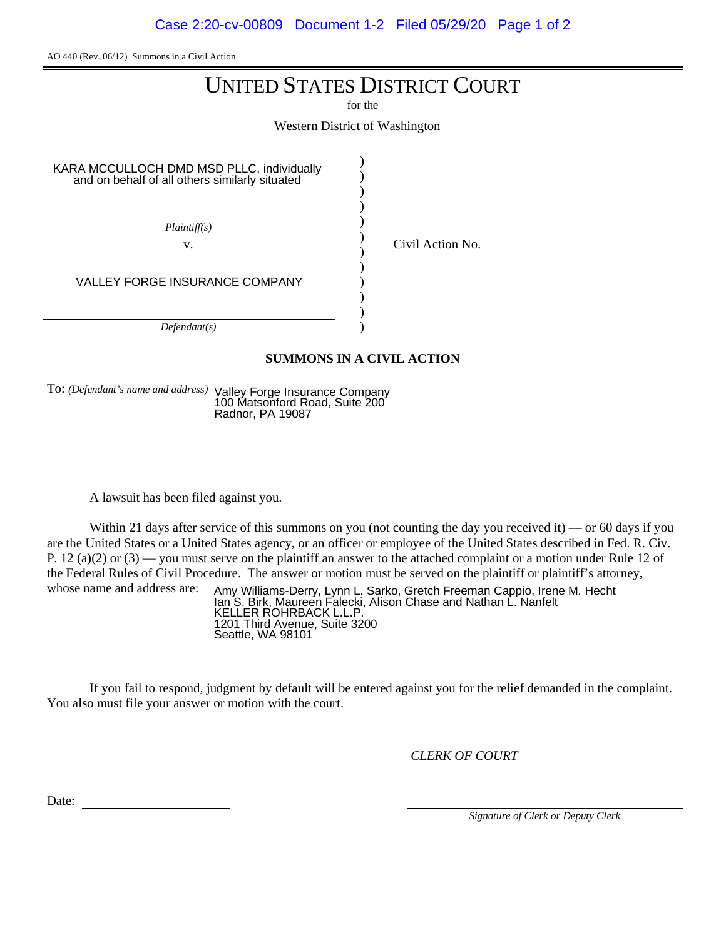AO 440 (Rev. 06/12) Summons in a Civil Action

# UNITED STATES DISTRICT COURT

for the

Western District of Washington

) )

KARA MCCULLOCH DMD MSD PLLC, individually

) ) ) ) ) ) ) ) ) ) *Plaintiff(s)* v. Civil Action No. and on behalf of all others similarly situated VALLEY FORGE INSURANCE COMPANY

*Defendant(s)*

#### **SUMMONS IN A CIVIL ACTION**

To: *(Defendant's name and address)* Valley Forge Insurance Company 100 Matsonford Road, Suite 200 Radnor, PA 19087

A lawsuit has been filed against you.

Within 21 days after service of this summons on you (not counting the day you received it) — or 60 days if you are the United States or a United States agency, or an officer or employee of the United States described in Fed. R. Civ. P. 12 (a)(2) or (3) — you must serve on the plaintiff an answer to the attached complaint or a motion under Rule 12 of the Federal Rules of Civil Procedure. The answer or motion must be served on the plaintiff or plaintiff's attorney, whose name and address are:

Amy Williams-Derry, Lynn L. Sarko, Gretch Freeman Cappio, Irene M. Hecht Ian S. Birk, Maureen Falecki, Alison Chase and Nathan L. Nanfelt KELLER ROHRBACK L.L.P. 1201 Third Avenue, Suite 3200 Seattle, WA 98101

If you fail to respond, judgment by default will be entered against you for the relief demanded in the complaint. You also must file your answer or motion with the court.

*CLERK OF COURT*

Date:

*Signature of Clerk or Deputy Clerk*